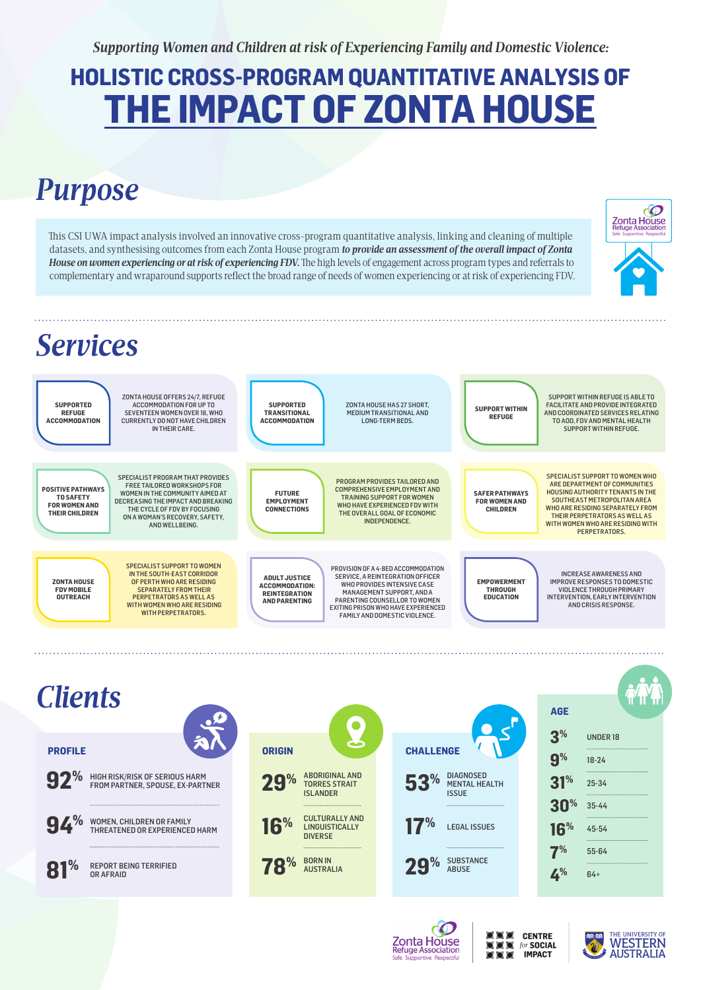*Supporting Women and Children at risk of Experiencing Family and Domestic Violence:*

# **HOLISTIC CROSS-PROGRAM QUANTITATIVE ANALYSIS OF THE IMPACT OF ZONTA HOUSE**

# *Purpose*



This CSI UWA impact analysis involved an innovative cross-program quantitative analysis, linking and cleaning of multiple datasets, and synthesising outcomes from each Zonta House program *to provide an assessment of the overall impact of Zonta House on women experiencing or at risk of experiencing FDV.* The high levels of engagement across program types and referrals to complementary and wraparound supports reflect the broad range of needs of women experiencing or at risk of experiencing FDV.

**SUPPORTED REFUGE ACCOMMODATION** ZONTA HOUSE OFFERS 24/7, REFUGE ACCOMMODATION FOR UP TO SEVENTEEN WOMEN OVER 18, WHO CURRENTLY DO NOT HAVE CHILDREN IN THEIR CARE.

**POSITIVE PATHWAYS TO SAFETY FOR WOMEN AND THEIR CHILDREN**

SPECIALIST PROGRAM THAT PROVIDES FREE TAILORED WORKSHOPS FOR WOMEN IN THE COMMUNITY AIMED AT DECREASING THE IMPACT AND BREAKING THE CYCLE OF FDV BY FOCUSING ON A WOMAN'S RECOVERY, SAFETY, AND WELLBEING.

**ZONTA HOUSE FDV MOBILE OUTREACH**

SPECIALIST SUPPORT TO WOMEN IN THE SOUTH-EAST CORRIDOR OF PERTH WHO ARE RESIDING SEPARATELY FROM THEIR PERPETRATORS AS WELL AS WITH WOMEN WHO ARE RESIDING WITH PERPETRATORS.

**SUPPORTED TRANSITIONAL ACCOMMODATION**

ZONTA HOUSE HAS 27 SHORT, MEDIUM TRANSITIONAL AND LONG-TERM BEDS.

**FUTURE EMPLOYMENT CONNECTIONS**

PROGRAM PROVIDES TAILORED AND COMPREHENSIVE EMPLOYMENT AND TRAINING SUPPORT FOR WOMEN WHO HAVE EXPERIENCED FDV WITH THE OVERALL GOAL OF ECONOMIC INDEPENDENCE.

**ADULT JUSTICE ACCOMMODATION: REINTEGRATION AND PARENTING**

PROVISION OF A 4-BED ACCOMMODATION SERVICE, A REINTEGRATION OFFICER WHO PROVIDES INTENSIVE CASE MANAGEMENT SUPPORT, AND A PARENTING COUNSELLOR TO WOMEN EXITING PRISON WHO HAVE EXPERIENCED FAMILY AND DOMESTIC VIOLENCE.

**SUPPORT WITHIN REFUGE**

SUPPORT WITHIN REFUGE IS ABLE TO FACILITATE AND PROVIDE INTEGRATED AND COORDINATED SERVICES RELATING TO AOD, FDV AND MENTAL HEALTH SUPPORT WITHIN REFUGE.

CO

**Zonta House**<br>Refuge Association

**SAFER PATHWAYS FOR WOMEN AND CHILDREN**

SPECIALIST SUPPORT TO WOMEN WHO ARE DEPARTMENT OF COMMUNITIES HOUSING AUTHORITY TENANTS IN THE SOUTHEAST METROPOLITAN AREA WHO ARE RESIDING SEPARATELY FROM THEIR PERPETRATORS AS WELL AS WITH WOMEN WHO ARE RESIDING WITH PERPETRATORS.

**EMPOWERMENT THROUGH EDUCATION**

INCREASE AWARENESS AND IMPROVE RESPONSES TO DOMESTIC VIOLENCE THROUGH PRIMARY INTERVENTION, EARLY INTERVENTION AND CRISIS RESPONSE.